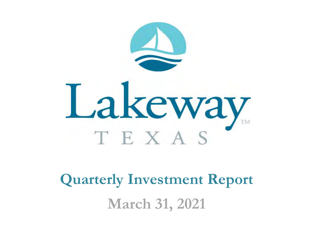

**Quarterly Investment Report March 31, 2021**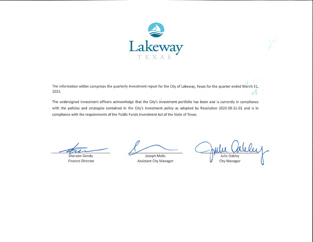

The information within comprises the quarterly investment report for the City of Lakeway, Texas for the quarter ended March 31, 2021.  $H^{\prime}$ 

The undersigned investment officers acknowledge that the City's investment portfolio has been and is currently in compliance with the policies and strategies contained in the City's investment policy as adopted by Resolution 2020-09-21-01 and is in compliance with the requirements of the Public Funds Investment Act of the State of Texas.

Shereen Gendy

**Finance Director** 

Joseph Molis **Assistant City Manager** 

Julie Oakley **City Manager**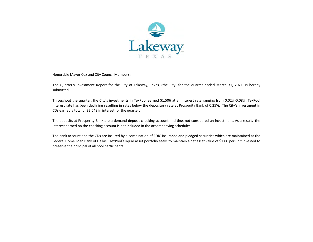

Honorable Mayor Cox and City Council Members:

The Quarterly Investment Report for the City of Lakeway, Texas, (the City) for the quarter ended March 31, 2021, is hereby submitted.

Throughout the quarter, the City's investments in TexPool earned \$1,506 at an interest rate ranging from 0.02%‐0.08%. TexPool interest rate has been declining resulting in rates below the depository rate at Prosperity Bank of 0.25%. The City's investment in CDs earned a total of \$2,648 in interest for the quarter.

The deposits at Prosperity Bank are <sup>a</sup> demand deposit checking account and thus not considered an investment. As <sup>a</sup> result, the interest earned on the checking account is not included in the accompanying schedules.

The bank account and the CDs are insured by <sup>a</sup> combination of FDIC insurance and pledged securities which are maintained at the Federal Home Loan Bank of Dallas. TexPool's liquid asset portfolio seeks to maintain <sup>a</sup> net asset value of \$1.00 per unit invested to preserve the principal of all pool participants.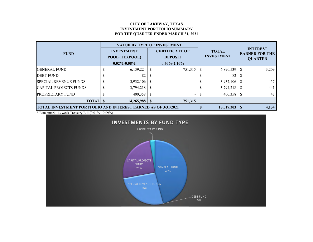### **CITY OF LAKEWAY, TEXAS INVESTMENT PORTFOLIO SUMMARY FOR THE QUARTER ENDED MARCH 31, 2021**

|                                                                       |  | <b>VALUE BY TYPE OF INVESTMENT</b>                       |                                                              |         |                                   |           |  |                                                            |  |
|-----------------------------------------------------------------------|--|----------------------------------------------------------|--------------------------------------------------------------|---------|-----------------------------------|-----------|--|------------------------------------------------------------|--|
| <b>FUND</b>                                                           |  | <b>INVESTMENT</b><br>POOL (TEXPOOL)<br>$0.02\% - 0.08\%$ | <b>CERTIFICATE OF</b><br><b>DEPOSIT</b><br>$0.40\% - 2.10\%$ |         | <b>TOTAL</b><br><b>INVESTMENT</b> |           |  | <b>INTEREST</b><br><b>EARNED FOR THE</b><br><b>QUARTER</b> |  |
| <b>GENERAL FUND</b>                                                   |  | 6,139,224                                                |                                                              | 751,315 |                                   | 6,890,539 |  | 3,209                                                      |  |
| <b>DEBT FUND</b>                                                      |  | 82                                                       |                                                              | -       |                                   | 82        |  |                                                            |  |
| <b>SPECIAL REVENUE FUNDS</b>                                          |  | 3,932,106                                                |                                                              |         |                                   | 3,932,106 |  | 457                                                        |  |
| <b>CAPITAL PROJECTS FUNDS</b>                                         |  | 3,794,218                                                |                                                              |         |                                   | 3,794,218 |  | 441                                                        |  |
| <b>PROPRIETARY FUND</b>                                               |  | 400,358                                                  |                                                              |         |                                   | 400,358   |  | 47                                                         |  |
| <b>TOTAL</b> \$                                                       |  | 14,265,988                                               |                                                              | 751,315 |                                   |           |  |                                                            |  |
| <b>TOTAL INVESTMENT PORTFOLIO AND INTEREST EARNED AS OF 3/31/2021</b> |  | 15,017,303                                               |                                                              | 4,154   |                                   |           |  |                                                            |  |

\* Benchmark: 13 week Treasury Bill (0.01% - 0.09%)

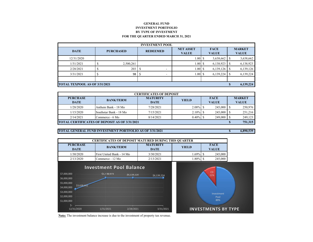### **GENERAL FUNDINVESTMENT PORTFOLIO BY TYPE OF INVESTMENTFOR THE QUARTER ENDED MARCH 31, 2021**

| <b>INVESTMENT POOL</b>               |  |                  |   |                          |                   |                                  |           |                             |           |                               |  |
|--------------------------------------|--|------------------|---|--------------------------|-------------------|----------------------------------|-----------|-----------------------------|-----------|-------------------------------|--|
| <b>DATE</b>                          |  | <b>PURCHASED</b> |   | <b>REDEEMED</b>          |                   | <b>NET ASSET</b><br><b>VALUE</b> |           | <b>FACE</b><br><b>VALUE</b> |           | <b>MARKET</b><br><b>VALUE</b> |  |
| 12/31/2020                           |  |                  |   |                          | 1.00 <sup>T</sup> | S                                | 3,638,662 |                             | 3,638,662 |                               |  |
| 1/31/2021                            |  | 2,500,261        |   |                          | 1.00              | S                                | 6,138,923 |                             | 6,138,923 |                               |  |
| 2/28/2021                            |  | 203              | S | ۰                        | 1.00              | <sup>\$</sup>                    | 6,139,126 |                             | 6,139,126 |                               |  |
| 3/31/2021                            |  | 98               |   | $\overline{\phantom{a}}$ | 1.00              | <sup>\$</sup>                    | 6,139,224 |                             | 6,139,224 |                               |  |
|                                      |  |                  |   |                          |                   |                                  |           |                             |           |                               |  |
| <b>TOTAL TEXPOOL AS OF 3/31/2021</b> |  |                  |   |                          |                   |                                  |           |                             | 6,139,224 |                               |  |

| <b>CERTIFICATES OF DEPOSIT</b>                       |                        |                                |              |                             |                               |         |  |  |  |  |
|------------------------------------------------------|------------------------|--------------------------------|--------------|-----------------------------|-------------------------------|---------|--|--|--|--|
| <b>PURCHASE</b><br><b>DATE</b>                       | <b>BANK/TERM</b>       | <b>MATURITY</b><br><b>DATE</b> | <b>YIELD</b> | <b>FACE</b><br><b>VALUE</b> | <b>MARKET</b><br><b>VALUE</b> |         |  |  |  |  |
| 1/28/2020                                            | Anthem Bank - 18 Mo    | 7/28/2021                      | 2.08%        |                             |                               | 250,976 |  |  |  |  |
| 1/15/2020                                            | Southstar Bank - 18 Mo | 7/15/2021                      | $2.10\%$     | 245,000                     |                               | 251,216 |  |  |  |  |
| 2/14/2021                                            | Commerce - 6 Mo        | 8/14/2021                      | $0.40\%$ \$  |                             |                               | 249,123 |  |  |  |  |
| <b>TOTAL CERTIFICATES OF DEPOSIT AS OF 3/31/2021</b> |                        |                                |              |                             |                               |         |  |  |  |  |

### **TOTAL GENERAL FUND INVESTMENT PORTFOLIO AS OF 3/31/2021**

**\$ 6,890,539**

| <b>CERTIFICATES OF DEPOSIT MATURED DURING THIS QUARTER</b> |                           |                                |              |                             |  |  |  |  |  |
|------------------------------------------------------------|---------------------------|--------------------------------|--------------|-----------------------------|--|--|--|--|--|
| <b>PURCHASE</b><br><b>DATE</b>                             | <b>BANK/TERM</b>          | <b>MATURITY</b><br><b>DATE</b> | <b>YIELD</b> | <b>FACE</b><br><b>VALUE</b> |  |  |  |  |  |
| 1/30/2020                                                  | First United Bank - 14 Mo | 3/30/2021                      | 1.69%        | 245,000                     |  |  |  |  |  |
| 2/13/2020                                                  | Commerce - 12 Mo          | 2/13/2021                      | $1.80\%$     | 245,000                     |  |  |  |  |  |



**Note:** The investment balance increase is due to the investment of property tax revenue.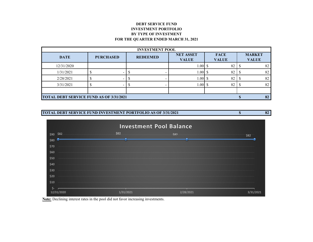## **DEBT SERVICE FUND INVESTMENT PORTFOLIO BY TYPE OF INVESTMENT FOR THE QUARTER ENDED MARCH 31, 2021**

| <b>INVESTMENT POOL</b>                         |                  |                 |                                  |                             |                               |  |  |  |  |  |
|------------------------------------------------|------------------|-----------------|----------------------------------|-----------------------------|-------------------------------|--|--|--|--|--|
| <b>DATE</b>                                    | <b>PURCHASED</b> | <b>REDEEMED</b> | <b>NET ASSET</b><br><b>VALUE</b> | <b>FACE</b><br><b>VALUE</b> | <b>MARKET</b><br><b>VALUE</b> |  |  |  |  |  |
| 12/31/2020                                     |                  |                 | 1.00S                            | 82                          | 82                            |  |  |  |  |  |
| 1/31/2021                                      |                  | -               | 1.00S                            | 82                          | 82                            |  |  |  |  |  |
| 2/28/2021                                      |                  |                 | 1.00                             | 82                          | 82                            |  |  |  |  |  |
| 3/31/2021                                      |                  |                 | 1.00                             | 82                          | 82                            |  |  |  |  |  |
|                                                |                  |                 |                                  |                             |                               |  |  |  |  |  |
| <b>TOTAL DEBT SERVICE FUND AS OF 3/31/2021</b> | 82               |                 |                                  |                             |                               |  |  |  |  |  |

#### **TOTAL DEBT SERVICE FUND INVESTMENT PORTFOLIO AS OF 3/31/2021\$ 82**



**Note:** Declining interest rates in the pool did not favor increasing investments.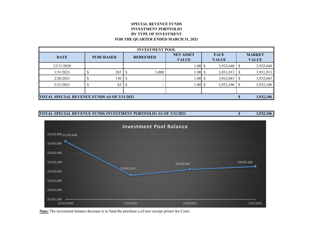## **SPECIAL REVENUE FUNDSINVESTMENT PORTFOLIO BY TYPE OF INVESTMENT FOR THE QUARTER ENDED MARCH 31, 2021**

| <b>INVESTMENT POOL</b>                             |                  |  |                 |                                  |                             |           |  |                               |  |  |
|----------------------------------------------------|------------------|--|-----------------|----------------------------------|-----------------------------|-----------|--|-------------------------------|--|--|
| <b>DATE</b>                                        | <b>PURCHASED</b> |  | <b>REDEEMED</b> | <b>NET ASSET</b><br><b>VALUE</b> | <b>FACE</b><br><b>VALUE</b> |           |  | <b>MARKET</b><br><b>VALUE</b> |  |  |
| 12/31/2020                                         |                  |  |                 | 1.00                             |                             | 3,932,648 |  | 3,932,648                     |  |  |
| 1/31/2021                                          | 265              |  | 1,000           | 1.00                             |                             | 3,931,913 |  | 3,931,913                     |  |  |
| 2/28/2021                                          | 130              |  |                 | 1.00                             |                             | 3,932,043 |  | 3,932,043                     |  |  |
| 3/31/2021                                          | 63               |  |                 | 1.00                             |                             | 3,932,106 |  | 3,932,106                     |  |  |
|                                                    |                  |  |                 |                                  |                             |           |  |                               |  |  |
| <b>TOTAL SPECIAL REVENUE FUNDS AS OF 3/31/2021</b> |                  |  |                 |                                  |                             |           |  | 3,932,106                     |  |  |





**Note:** The investment balance decrease is to fund the purchase a of new receipt printer for Court.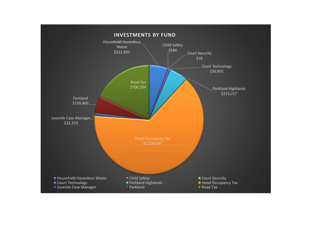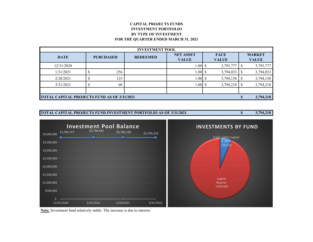## **CAPITAL PROJECTS FUNDSINVESTMENT PORTFOLIO BY TYPE OF INVESTMENT FOR THE QUARTER ENDED MARCH 31, 2021**

| <b>INVESTMENT POOL</b>                             |                  |                 |                                  |                             |                               |  |  |  |  |  |
|----------------------------------------------------|------------------|-----------------|----------------------------------|-----------------------------|-------------------------------|--|--|--|--|--|
| <b>DATE</b>                                        | <b>PURCHASED</b> | <b>REDEEMED</b> | <b>NET ASSET</b><br><b>VALUE</b> | <b>FACE</b><br><b>VALUE</b> | <b>MARKET</b><br><b>VALUE</b> |  |  |  |  |  |
| 12/31/2020                                         |                  |                 | 1.00                             | 3,793,777                   | 3,793,777                     |  |  |  |  |  |
| 1/31/2021                                          | 256              |                 | 1.00 <sub>l</sub>                | 3,794,033<br>S.             | 3,794,033                     |  |  |  |  |  |
| 2/28/2021                                          | 125              |                 | 1.00                             | 3,794,158                   | 3,794,158                     |  |  |  |  |  |
| 3/31/2021                                          | 60               |                 | 1.00                             | 3,794,218<br>S              | 3,794,218                     |  |  |  |  |  |
|                                                    |                  |                 |                                  |                             |                               |  |  |  |  |  |
| <b>TOTAL CAPITAL PROJECTS FUND AS OF 3/31/2021</b> |                  |                 |                                  |                             |                               |  |  |  |  |  |





**Note:** Investment fund relatively stable. The increase is due to interest.